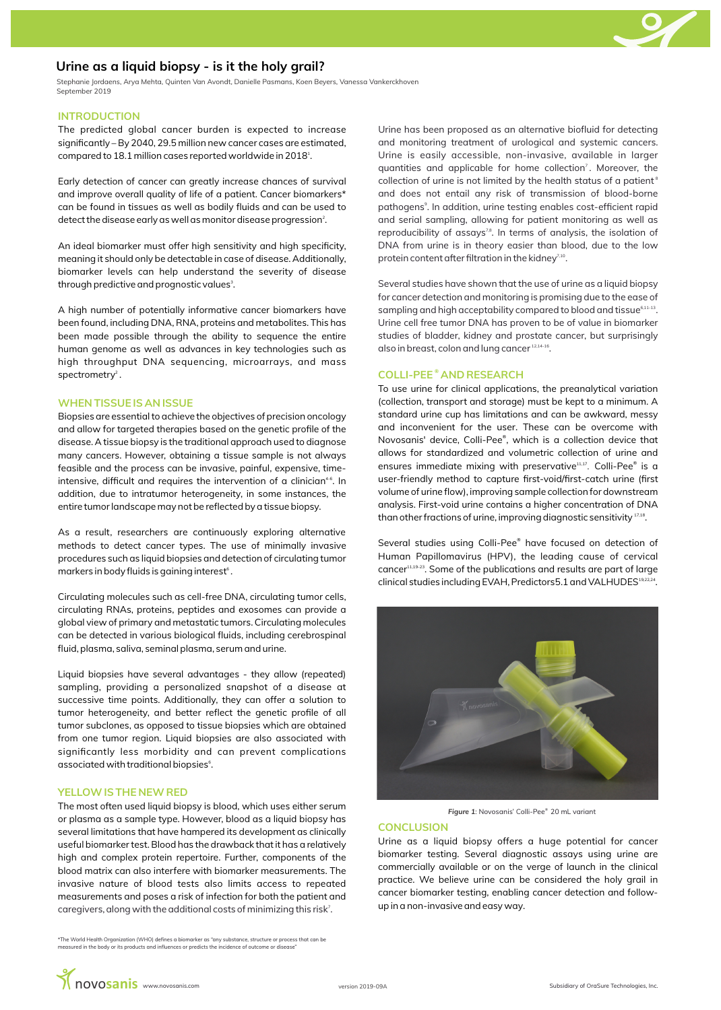# **Urine as a liquid biopsy - is it the holy grail?**

Stephanie Jordaens, Arya Mehta, Quinten Van Avondt, Danielle Pasmans, Koen Beyers, Vanessa Vankerckhoven September 2019

### **INTRODUCTION**

The predicted global cancer burden is expected to increase significantly – By 2040, 29.5 million new cancer cases are estimated, compared to 18.1 million cases reported worldwide in 2018 $^{\rm a}$ .

Early detection of cancer can greatly increase chances of survival and improve overall quality of life of a patient. Cancer biomarkers\* can be found in tissues as well as bodily fluids and can be used to detect the disease early as well as monitor disease progression<sup>2</sup>.

An ideal biomarker must offer high sensitivity and high specificity, meaning it should only be detectable in case of disease. Additionally, biomarker levels can help understand the severity of disease through predictive and prognostic values<sup>3</sup>.

A high number of potentially informative cancer biomarkers have been found, including DNA, RNA, proteins and metabolites. This has been made possible through the ability to sequence the entire human genome as well as advances in key technologies such as high throughput DNA sequencing, microarrays, and mass  $s$  pectrometry  $2$  .

#### **WHEN TISSUE IS AN ISSUE**

Biopsies are essential to achieve the objectives of precision oncology and allow for targeted therapies based on the genetic profile of the disease. A tissue biopsy is the traditional approach used to diagnose many cancers. However, obtaining a tissue sample is not always feasible and the process can be invasive, painful, expensive, timeintensive, difficult and requires the intervention of a clinician<sup>46</sup>. In addition, due to intratumor heterogeneity, in some instances, the entire tumor landscape may not be reflected by a tissue biopsy.

As a result, researchers are continuously exploring alternative methods to detect cancer types. The use of minimally invasive procedures such as liquid biopsies and detection of circulating tumor markers in body fluids is gaining interest<sup>6</sup>.

Circulating molecules such as cell-free DNA, circulating tumor cells, circulating RNAs, proteins, peptides and exosomes can provide a global view of primary and metastatic tumors. Circulating molecules can be detected in various biological fluids, including cerebrospinal fluid, plasma, saliva, seminal plasma, serum and urine.

Liquid biopsies have several advantages - they allow (repeated) sampling, providing a personalized snapshot of a disease at successive time points. Additionally, they can offer a solution to tumor heterogeneity, and better reflect the genetic profile of all tumor subclones, as opposed to tissue biopsies which are obtained from one tumor region. Liquid biopsies are also associated with significantly less morbidity and can prevent complications associated with traditional biopsies<sup>6</sup>.

## **YELLOW IS THE NEW RED**

The most often used liquid biopsy is blood, which uses either serum or plasma as a sample type. However, blood as a liquid biopsy has several limitations that have hampered its development as clinically useful biomarker test. Blood has the drawback that it has a relatively high and complex protein repertoire. Further, components of the blood matrix can also interfere with biomarker measurements. The invasive nature of blood tests also limits access to repeated measurements and poses a risk of infection for both the patient and caregivers, along with the additional costs of minimizing this risk<sup>7</sup>.

\*The World Health Organization (WHO) defines a biomarker as "any substance, structure or process that can be measured in the body or its products and influences or predicts the incidence of outcome or disease

Urine has been proposed as an alternative biofluid for detecting and monitoring treatment of urological and systemic cancers. Urine is easily accessible, non-invasive, available in larger quantities and applicable for home collection<sup>7</sup>. Moreover, the collection of urine is not limited by the health status of a patient<sup>8</sup> and does not entail any risk of transmission of blood-borne pathogens<sup>9</sup>. In addition, urine testing enables cost-efficient rapid and serial sampling, allowing for patient monitoring as well as reproducibility of assays<sup>78</sup>. In terms of analysis, the isolation of DNA from urine is in theory easier than blood, due to the low protein content after filtration in the kidney<sup>7,10</sup>.

Several studies have shown that the use of urine as a liquid biopsy for cancer detection and monitoring is promising due to the ease of sampling and high acceptability compared to blood and tissue<sup>6,11-13</sup>. Urine cell free tumor DNA has proven to be of value in biomarker studies of bladder, kidney and prostate cancer, but surprisingly also in breast, colon and lung cancer  $12.14-16$ .

# **COLLI-PEE<sup>®</sup> AND RESEARCH**

To use urine for clinical applications, the preanalytical variation (collection, transport and storage) must be kept to a minimum. A standard urine cup has limitations and can be awkward, messy and inconvenient for the user. These can be overcome with Novosanis' device, Colli-Pee<sup>®</sup>, which is a collection device that allows for standardized and volumetric collection of urine and ensures immediate mixing with preservative<sup>11,17</sup>. Colli-Pee<sup>®</sup> is a user-friendly method to capture first-void/first-catch urine (first volume of urine flow), improving sample collection for downstream analysis. First-void urine contains a higher concentration of DNA than other fractions of urine, improving diagnostic sensitivity  $17,18$ .

Several studies using Colli-Pee® have focused on detection of Human Papillomavirus (HPV), the leading cause of cervical cancer<sup>11,19-23</sup>. Some of the publications and results are part of large clinical studies including EVAH, Predictors5.1 and VALHUDES<sup>19,22,24</sup>.



Figure 1: Novosanis' Colli-Pee<sup>®</sup> 20 mL variant

#### **CONCLUSION**

Urine as a liquid biopsy offers a huge potential for cancer biomarker testing. Several diagnostic assays using urine are commercially available or on the verge of launch in the clinical practice. We believe urine can be considered the holy grail in cancer biomarker testing, enabling cancer detection and followup in a non-invasive and easy way.